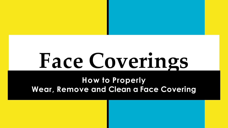# **Face Coverings**

#### **How to Properly Wear, Remove and Clean a Face Covering**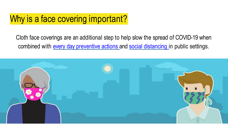# Why is a face covering important?

Cloth face coverings are an additional step to help slow the spread of COVID-19 when combined with every day [preventive](https://www.cdc.gov/coronavirus/2019-ncov/prevent-getting-sick/prevention.html) actions and social [distancing](https://www.cdc.gov/coronavirus/2019-ncov/prevent-getting-sick/social-distancing.html) in public settings.

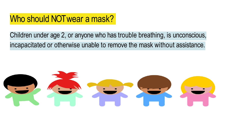# Who should NOT wear a mask?

#### Children under age 2, or anyone who has trouble breathing, is unconscious, incapacitated or otherwise unable to remove the mask without assistance.

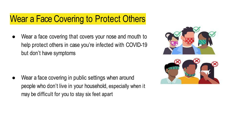# Wear a Face Covering to Protect Others

Wear a face covering that covers your nose and mouth to help protect others in case you're infected with COVID-19 but don't have symptoms

Wear a face covering in public settings when around people who don't live in your household, especially when it may be difficult for you to stay six feet apart

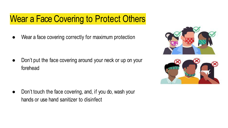# Wear a Face Covering to Protect Others

Wear a face covering correctly for maximum protection

Don't put the face covering around your neck or up on your forehead

Don't touch the face covering, and, if you do, wash your hands or use hand sanitizer to disinfect

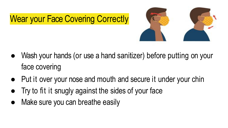



- Wash your hands (or use a hand sanitizer) before putting on your face covering
- Put it over your nose and mouth and secure it under your chin
- Try to fit it snugly against the sides of your face
- Make sure you can breathe easily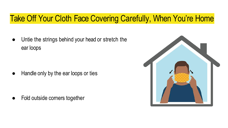### Take Off Your Cloth Face Covering Carefully, When You're Home

● Untie the strings behind your head or stretch the ear loops

Handle only by the ear loops or ties

Fold outside corners together

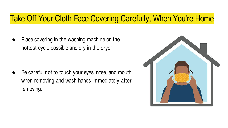#### Take Off Your Cloth Face Covering Carefully, When You're Home

Place covering in the washing machine on the hottest cycle possible and dry in the dryer

Be careful not to touch your eyes, nose, and mouth when removing and wash hands immediately after removing.